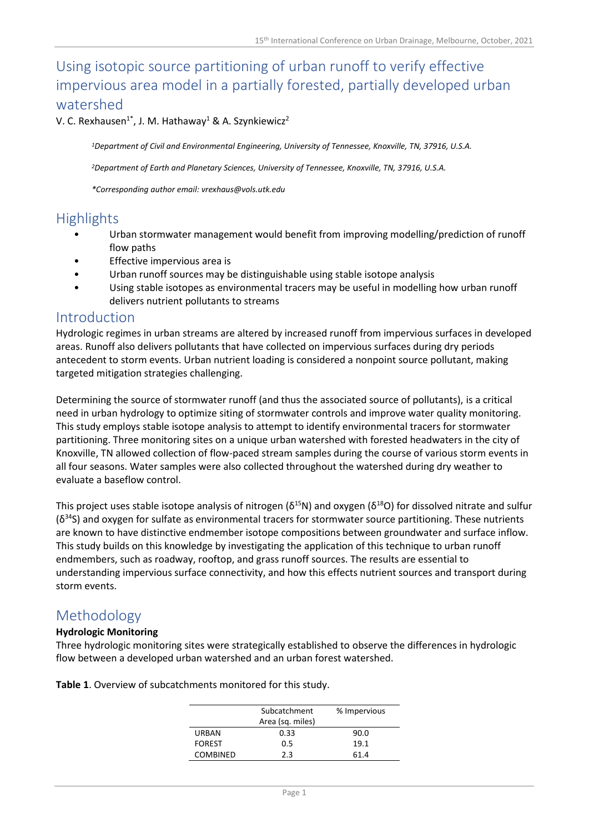# Using isotopic source partitioning of urban runoff to verify effective impervious area model in a partially forested, partially developed urban watershed

V. C. Rexhausen<sup>1\*</sup>, J. M. Hathaway<sup>1</sup> & A. Szynkiewicz<sup>2</sup>

*<sup>1</sup>Department of Civil and Environmental Engineering, University of Tennessee, Knoxville, TN, 37916, U.S.A.*

*<sup>2</sup>Department of Earth and Planetary Sciences, University of Tennessee, Knoxville, TN, 37916, U.S.A.*

*\*Corresponding author email: vrexhaus@vols.utk.edu*

### Highlights

- Urban stormwater management would benefit from improving modelling/prediction of runoff flow paths
- Effective impervious area is
- Urban runoff sources may be distinguishable using stable isotope analysis
- Using stable isotopes as environmental tracers may be useful in modelling how urban runoff delivers nutrient pollutants to streams

### Introduction

Hydrologic regimes in urban streams are altered by increased runoff from impervious surfaces in developed areas. Runoff also delivers pollutants that have collected on impervious surfaces during dry periods antecedent to storm events. Urban nutrient loading is considered a nonpoint source pollutant, making targeted mitigation strategies challenging.

Determining the source of stormwater runoff (and thus the associated source of pollutants), is a critical need in urban hydrology to optimize siting of stormwater controls and improve water quality monitoring. This study employs stable isotope analysis to attempt to identify environmental tracers for stormwater partitioning. Three monitoring sites on a unique urban watershed with forested headwaters in the city of Knoxville, TN allowed collection of flow-paced stream samples during the course of various storm events in all four seasons. Water samples were also collected throughout the watershed during dry weather to evaluate a baseflow control.

This project uses stable isotope analysis of nitrogen ( $\delta^{15}N$ ) and oxygen ( $\delta^{18}O$ ) for dissolved nitrate and sulfur  $(\delta^{34}S)$  and oxygen for sulfate as environmental tracers for stormwater source partitioning. These nutrients are known to have distinctive endmember isotope compositions between groundwater and surface inflow. This study builds on this knowledge by investigating the application of this technique to urban runoff endmembers, such as roadway, rooftop, and grass runoff sources. The results are essential to understanding impervious surface connectivity, and how this effects nutrient sources and transport during storm events.

### Methodology

#### **Hydrologic Monitoring**

Three hydrologic monitoring sites were strategically established to observe the differences in hydrologic flow between a developed urban watershed and an urban forest watershed.

**Table 1**. Overview of subcatchments monitored for this study.

|                 | Subcatchment     | % Impervious |
|-----------------|------------------|--------------|
|                 | Area (sq. miles) |              |
| <b>URBAN</b>    | 0.33             | 90.0         |
| <b>FOREST</b>   | 0.5              | 19.1         |
| <b>COMBINED</b> | 2.3              | 61.4         |
|                 |                  |              |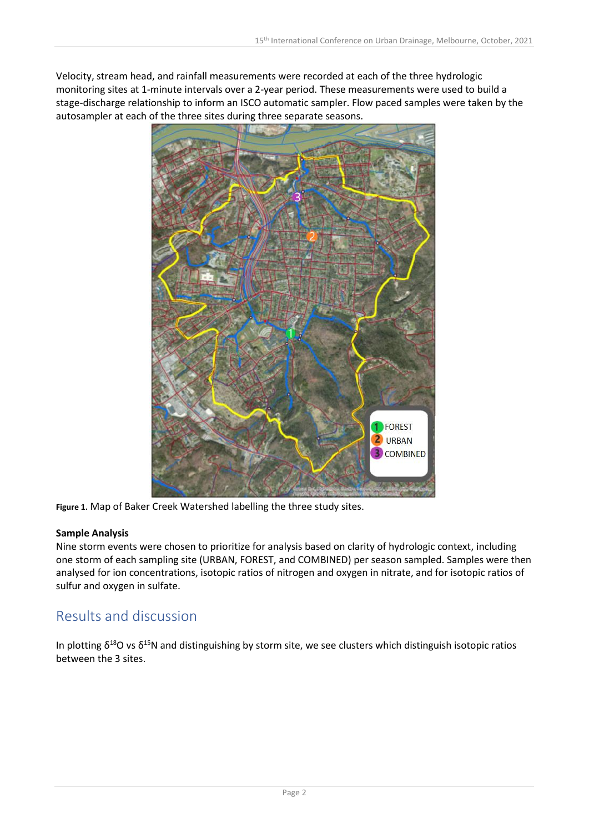Velocity, stream head, and rainfall measurements were recorded at each of the three hydrologic monitoring sites at 1-minute intervals over a 2-year period. These measurements were used to build a stage-discharge relationship to inform an ISCO automatic sampler. Flow paced samples were taken by the autosampler at each of the three sites during three separate seasons.



**Figure 1.** Map of Baker Creek Watershed labelling the three study sites.

### **Sample Analysis**

Nine storm events were chosen to prioritize for analysis based on clarity of hydrologic context, including one storm of each sampling site (URBAN, FOREST, and COMBINED) per season sampled. Samples were then analysed for ion concentrations, isotopic ratios of nitrogen and oxygen in nitrate, and for isotopic ratios of sulfur and oxygen in sulfate.

## Results and discussion

In plotting  $\delta^{18}$ O vs  $\delta^{15}$ N and distinguishing by storm site, we see clusters which distinguish isotopic ratios between the 3 sites.